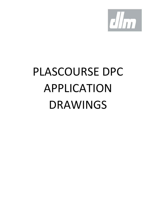

# PLASCOURSE DPC APPLICATION DRAWINGS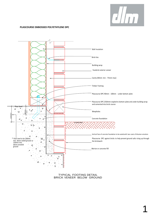

1

# **PLASCOURSE EMBOSSED POLYETHYLENE DPC**



TYPICAL FOOTING DETAIL BRICK VENEER BELOW GROUND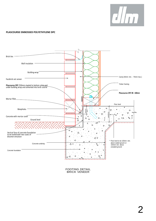

### **PLASCOURSE EMBOSSED POLYETHYLENE DPC**



FOOTING DETAIL BRICK VENEER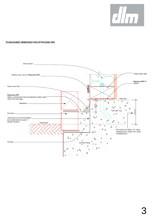

# **PLASCOURSE EMBOSSED POLYETHYLENE DPC**